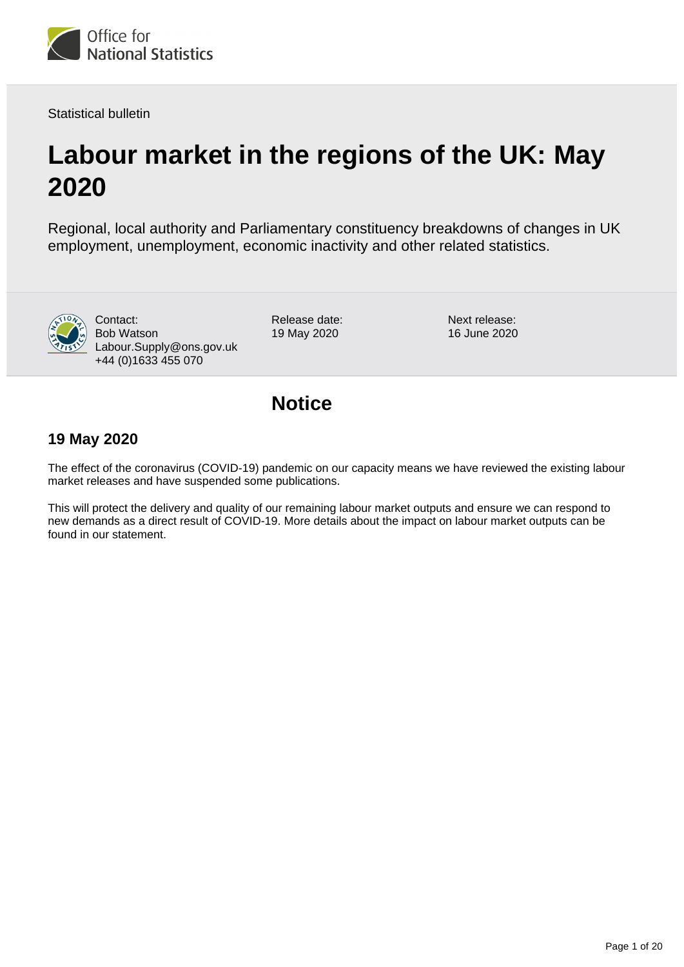<span id="page-0-0"></span>

Statistical bulletin

# **Labour market in the regions of the UK: May 2020**

Regional, local authority and Parliamentary constituency breakdowns of changes in UK employment, unemployment, economic inactivity and other related statistics.



Contact: Bob Watson Labour.Supply@ons.gov.uk +44 (0)1633 455 070

Release date: 19 May 2020

Next release: 16 June 2020

## **Notice**

### **19 May 2020**

The effect of the coronavirus (COVID-19) pandemic on our capacity means we have reviewed the existing labour market releases and have suspended some publications.

This will protect the delivery and quality of our remaining labour market outputs and ensure we can respond to new demands as a direct result of COVID-19. More details about the impact on labour market outputs can be found in our statement.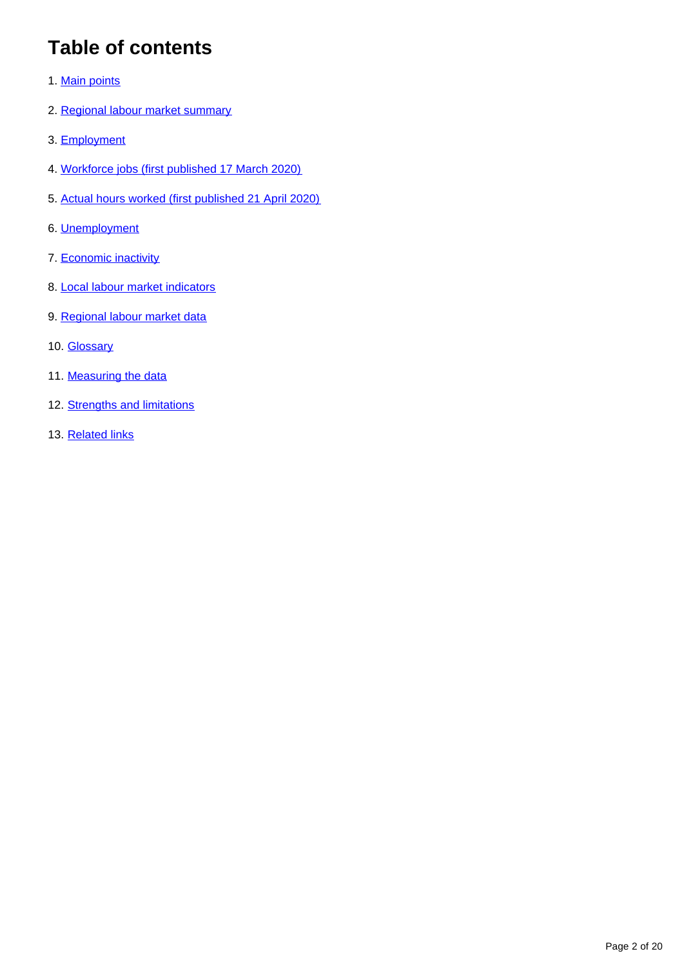# **Table of contents**

- 1. [Main points](#page-2-0)
- 2. [Regional labour market summary](#page-2-1)
- 3. [Employment](#page-4-0)
- 4. [Workforce jobs \(first published 17 March 2020\)](#page-5-0)
- 5. [Actual hours worked \(first published 21 April 2020\)](#page-7-0)
- 6. [Unemployment](#page-8-0)
- 7. [Economic inactivity](#page-10-0)
- 8. [Local labour market indicators](#page-11-0)
- 9. [Regional labour market data](#page-12-0)
- 10. **[Glossary](#page-12-1)**
- 11. [Measuring the data](#page-13-0)
- 12. [Strengths and limitations](#page-16-0)
- 13. [Related links](#page-19-0)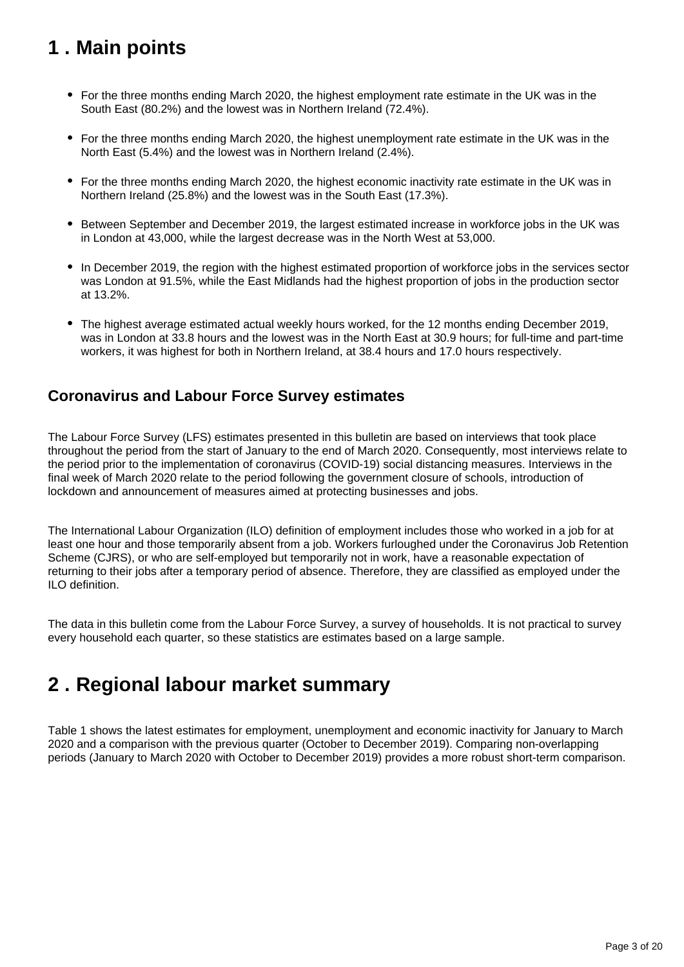# <span id="page-2-0"></span>**1 . Main points**

- For the three months ending March 2020, the highest employment rate estimate in the UK was in the South East (80.2%) and the lowest was in Northern Ireland (72.4%).
- For the three months ending March 2020, the highest unemployment rate estimate in the UK was in the North East (5.4%) and the lowest was in Northern Ireland (2.4%).
- For the three months ending March 2020, the highest economic inactivity rate estimate in the UK was in Northern Ireland (25.8%) and the lowest was in the South East (17.3%).
- Between September and December 2019, the largest estimated increase in workforce jobs in the UK was in London at 43,000, while the largest decrease was in the North West at 53,000.
- In December 2019, the region with the highest estimated proportion of workforce jobs in the services sector was London at 91.5%, while the East Midlands had the highest proportion of jobs in the production sector at 13.2%.
- The highest average estimated actual weekly hours worked, for the 12 months ending December 2019, was in London at 33.8 hours and the lowest was in the North East at 30.9 hours; for full-time and part-time workers, it was highest for both in Northern Ireland, at 38.4 hours and 17.0 hours respectively.

### **Coronavirus and Labour Force Survey estimates**

The Labour Force Survey (LFS) estimates presented in this bulletin are based on interviews that took place throughout the period from the start of January to the end of March 2020. Consequently, most interviews relate to the period prior to the implementation of coronavirus (COVID-19) social distancing measures. Interviews in the final week of March 2020 relate to the period following the government closure of schools, introduction of lockdown and announcement of measures aimed at protecting businesses and jobs.

The International Labour Organization (ILO) definition of employment includes those who worked in a job for at least one hour and those temporarily absent from a job. Workers furloughed under the Coronavirus Job Retention Scheme (CJRS), or who are self-employed but temporarily not in work, have a reasonable expectation of returning to their jobs after a temporary period of absence. Therefore, they are classified as employed under the ILO definition.

The data in this bulletin come from the Labour Force Survey, a survey of households. It is not practical to survey every household each quarter, so these statistics are estimates based on a large sample.

# <span id="page-2-1"></span>**2 . Regional labour market summary**

Table 1 shows the latest estimates for employment, unemployment and economic inactivity for January to March 2020 and a comparison with the previous quarter (October to December 2019). Comparing non-overlapping periods (January to March 2020 with October to December 2019) provides a more robust short-term comparison.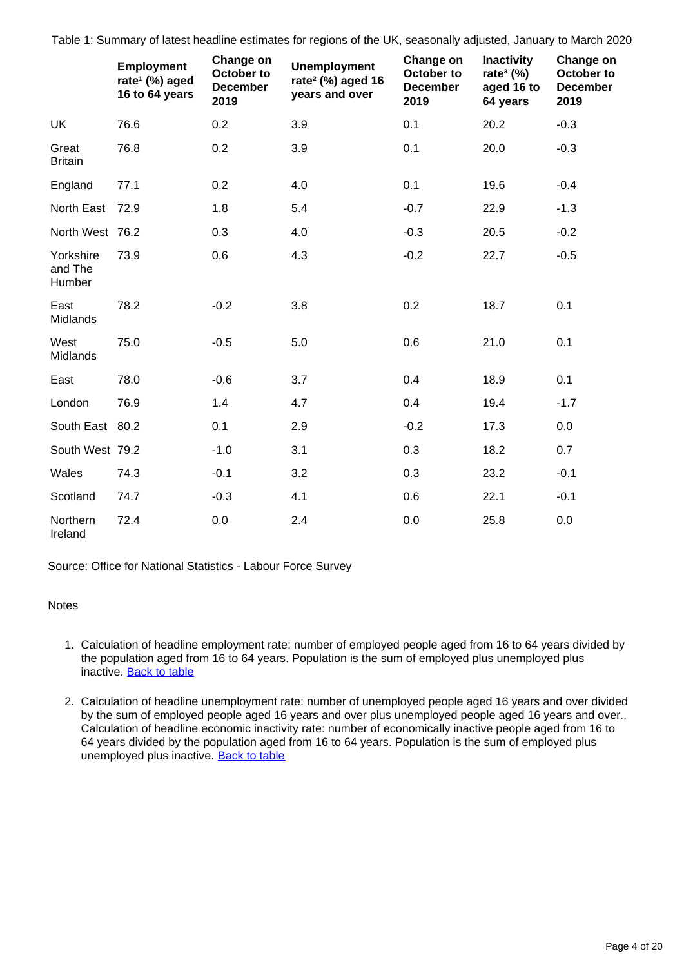Table 1: Summary of latest headline estimates for regions of the UK, seasonally adjusted, January to March 2020

|                                | <b>Employment</b><br>rate <sup>1</sup> (%) aged<br>16 to 64 years | Change on<br>October to<br><b>December</b><br>2019 | <b>Unemployment</b><br>rate <sup>2</sup> (%) aged 16<br>years and over | Change on<br>October to<br><b>December</b><br>2019 | <b>Inactivity</b><br>rate <sup>3</sup> $(\%)$<br>aged 16 to<br>64 years | Change on<br>October to<br><b>December</b><br>2019 |
|--------------------------------|-------------------------------------------------------------------|----------------------------------------------------|------------------------------------------------------------------------|----------------------------------------------------|-------------------------------------------------------------------------|----------------------------------------------------|
| UK                             | 76.6                                                              | 0.2                                                | 3.9                                                                    | 0.1                                                | 20.2                                                                    | $-0.3$                                             |
| Great<br><b>Britain</b>        | 76.8                                                              | 0.2                                                | 3.9                                                                    | 0.1                                                | 20.0                                                                    | $-0.3$                                             |
| England                        | 77.1                                                              | 0.2                                                | 4.0                                                                    | 0.1                                                | 19.6                                                                    | $-0.4$                                             |
| North East                     | 72.9                                                              | 1.8                                                | 5.4                                                                    | $-0.7$                                             | 22.9                                                                    | $-1.3$                                             |
| North West 76.2                |                                                                   | 0.3                                                | 4.0                                                                    | $-0.3$                                             | 20.5                                                                    | $-0.2$                                             |
| Yorkshire<br>and The<br>Humber | 73.9                                                              | 0.6                                                | 4.3                                                                    | $-0.2$                                             | 22.7                                                                    | $-0.5$                                             |
| East<br>Midlands               | 78.2                                                              | $-0.2$                                             | 3.8                                                                    | 0.2                                                | 18.7                                                                    | 0.1                                                |
| West<br>Midlands               | 75.0                                                              | $-0.5$                                             | 5.0                                                                    | 0.6                                                | 21.0                                                                    | 0.1                                                |
| East                           | 78.0                                                              | $-0.6$                                             | 3.7                                                                    | 0.4                                                | 18.9                                                                    | 0.1                                                |
| London                         | 76.9                                                              | 1.4                                                | 4.7                                                                    | 0.4                                                | 19.4                                                                    | $-1.7$                                             |
| South East 80.2                |                                                                   | 0.1                                                | 2.9                                                                    | $-0.2$                                             | 17.3                                                                    | 0.0                                                |
| South West 79.2                |                                                                   | $-1.0$                                             | 3.1                                                                    | 0.3                                                | 18.2                                                                    | 0.7                                                |
| Wales                          | 74.3                                                              | $-0.1$                                             | 3.2                                                                    | 0.3                                                | 23.2                                                                    | $-0.1$                                             |
| Scotland                       | 74.7                                                              | $-0.3$                                             | 4.1                                                                    | 0.6                                                | 22.1                                                                    | $-0.1$                                             |
| Northern<br>Ireland            | 72.4                                                              | 0.0                                                | 2.4                                                                    | 0.0                                                | 25.8                                                                    | 0.0                                                |

Source: Office for National Statistics - Labour Force Survey

Notes

- 1. Calculation of headline employment rate: number of employed people aged from 16 to 64 years divided by the population aged from 16 to 64 years. Population is the sum of employed plus unemployed plus inactive. [Back to table](#page-0-0)
- 2. Calculation of headline unemployment rate: number of unemployed people aged 16 years and over divided by the sum of employed people aged 16 years and over plus unemployed people aged 16 years and over., Calculation of headline economic inactivity rate: number of economically inactive people aged from 16 to 64 years divided by the population aged from 16 to 64 years. Population is the sum of employed plus unemployed plus inactive. [Back to table](#page-0-0)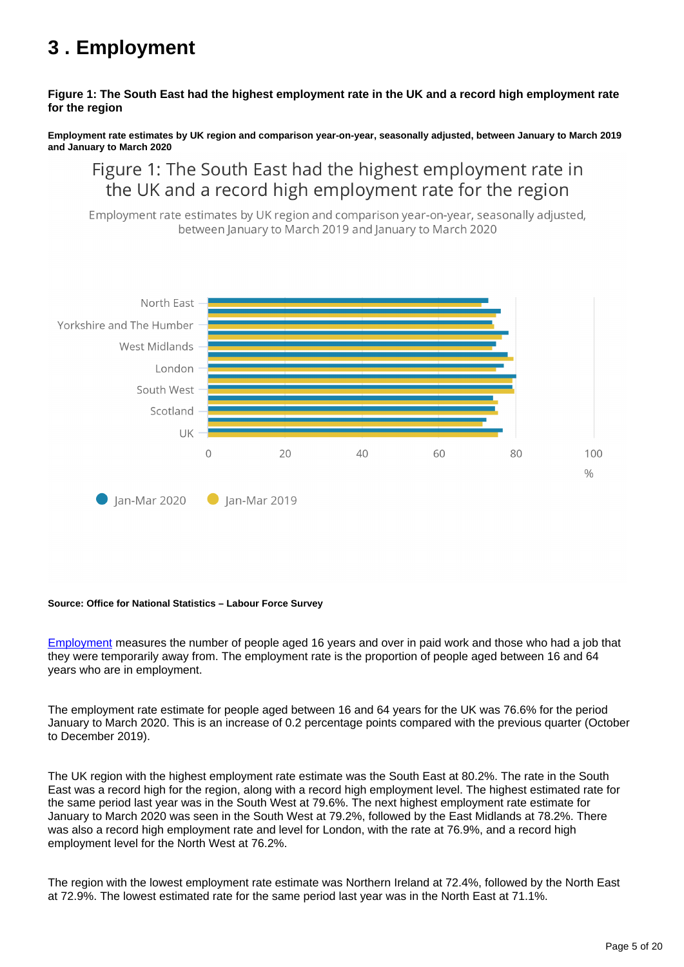# <span id="page-4-0"></span>**3 . Employment**

#### **Figure 1: The South East had the highest employment rate in the UK and a record high employment rate for the region**

**Employment rate estimates by UK region and comparison year-on-year, seasonally adjusted, between January to March 2019 and January to March 2020**

## Figure 1: The South East had the highest employment rate in the UK and a record high employment rate for the region

Employment rate estimates by UK region and comparison year-on-year, seasonally adjusted, between January to March 2019 and January to March 2020



#### **Source: Office for National Statistics – Labour Force Survey**

[Employment](https://www.ons.gov.uk/employmentandlabourmarket/peopleinwork/employmentandemployeetypes/methodologies/aguidetolabourmarketstatistics#employment) measures the number of people aged 16 years and over in paid work and those who had a job that they were temporarily away from. The employment rate is the proportion of people aged between 16 and 64 years who are in employment.

The employment rate estimate for people aged between 16 and 64 years for the UK was 76.6% for the period January to March 2020. This is an increase of 0.2 percentage points compared with the previous quarter (October to December 2019).

The UK region with the highest employment rate estimate was the South East at 80.2%. The rate in the South East was a record high for the region, along with a record high employment level. The highest estimated rate for the same period last year was in the South West at 79.6%. The next highest employment rate estimate for January to March 2020 was seen in the South West at 79.2%, followed by the East Midlands at 78.2%. There was also a record high employment rate and level for London, with the rate at 76.9%, and a record high employment level for the North West at 76.2%.

The region with the lowest employment rate estimate was Northern Ireland at 72.4%, followed by the North East at 72.9%. The lowest estimated rate for the same period last year was in the North East at 71.1%.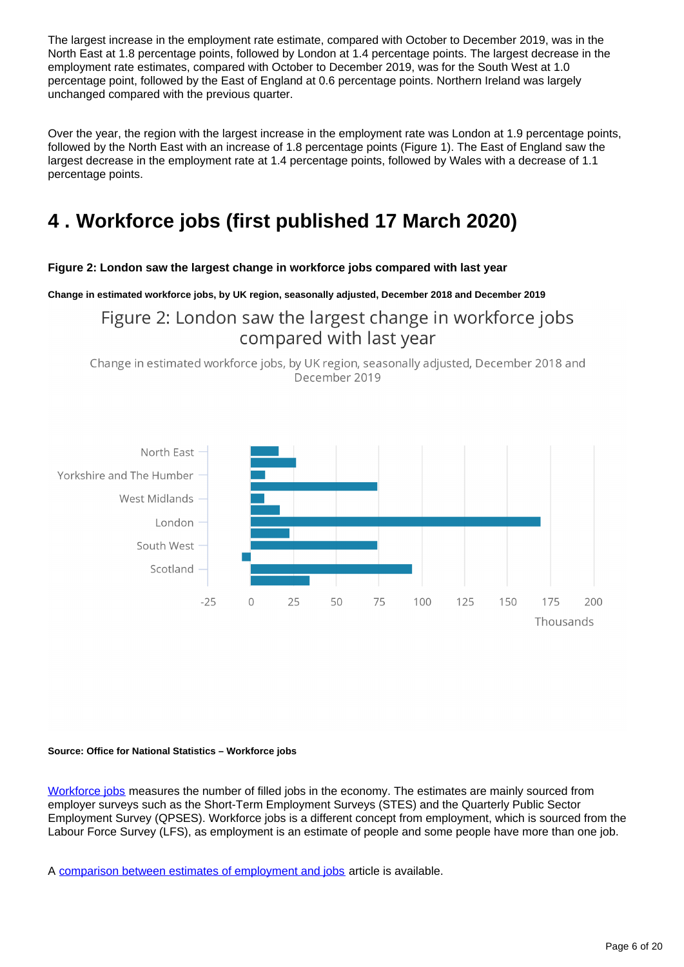The largest increase in the employment rate estimate, compared with October to December 2019, was in the North East at 1.8 percentage points, followed by London at 1.4 percentage points. The largest decrease in the employment rate estimates, compared with October to December 2019, was for the South West at 1.0 percentage point, followed by the East of England at 0.6 percentage points. Northern Ireland was largely unchanged compared with the previous quarter.

Over the year, the region with the largest increase in the employment rate was London at 1.9 percentage points, followed by the North East with an increase of 1.8 percentage points (Figure 1). The East of England saw the largest decrease in the employment rate at 1.4 percentage points, followed by Wales with a decrease of 1.1 percentage points.

# <span id="page-5-0"></span>**4 . Workforce jobs (first published 17 March 2020)**

#### **Figure 2: London saw the largest change in workforce jobs compared with last year**

**Change in estimated workforce jobs, by UK region, seasonally adjusted, December 2018 and December 2019**

Figure 2: London saw the largest change in workforce jobs compared with last year

Change in estimated workforce jobs, by UK region, seasonally adjusted, December 2018 and December 2019



#### **Source: Office for National Statistics – Workforce jobs**

[Workforce jobs](https://www.ons.gov.uk/employmentandlabourmarket/peopleinwork/employmentandemployeetypes/methodologies/aguidetolabourmarketstatistics#employmentandjobs) measures the number of filled jobs in the economy. The estimates are mainly sourced from employer surveys such as the Short-Term Employment Surveys (STES) and the Quarterly Public Sector Employment Survey (QPSES). Workforce jobs is a different concept from employment, which is sourced from the Labour Force Survey (LFS), as employment is an estimate of people and some people have more than one job.

A [comparison between estimates of employment and jobs](http://www.ons.gov.uk/employmentandlabourmarket/peopleinwork/employmentandemployeetypes/articles/reconciliationofestimatesofjobs/latest) article is available.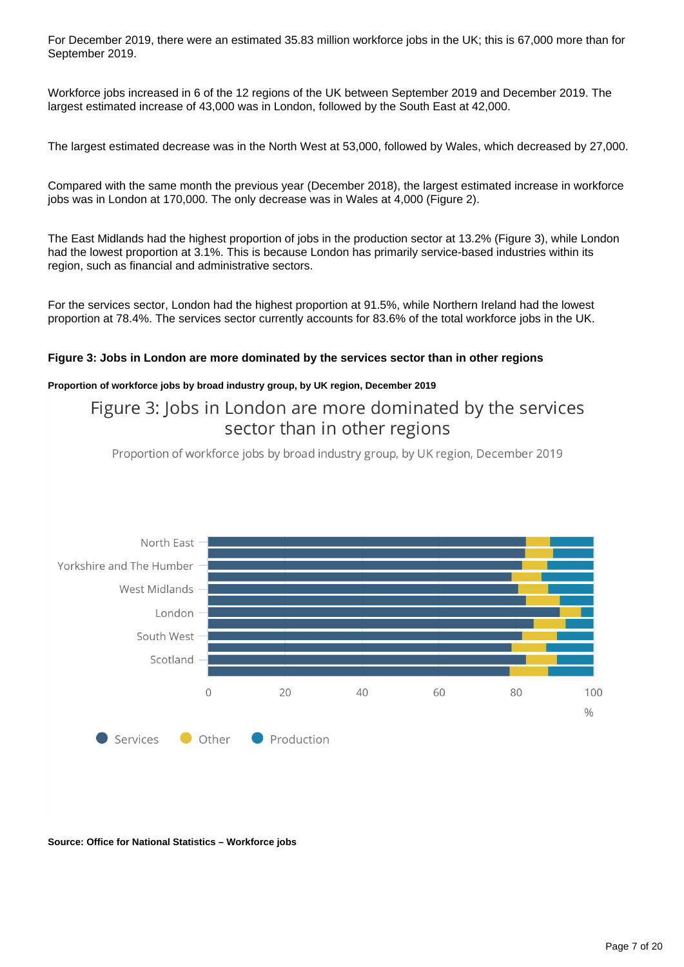For December 2019, there were an estimated 35.83 million workforce jobs in the UK; this is 67,000 more than for September 2019.

Workforce jobs increased in 6 of the 12 regions of the UK between September 2019 and December 2019. The largest estimated increase of 43,000 was in London, followed by the South East at 42,000.

The largest estimated decrease was in the North West at 53,000, followed by Wales, which decreased by 27,000.

Compared with the same month the previous year (December 2018), the largest estimated increase in workforce jobs was in London at 170,000. The only decrease was in Wales at 4,000 (Figure 2).

The East Midlands had the highest proportion of jobs in the production sector at 13.2% (Figure 3), while London had the lowest proportion at 3.1%. This is because London has primarily service-based industries within its region, such as financial and administrative sectors.

For the services sector, London had the highest proportion at 91.5%, while Northern Ireland had the lowest proportion at 78.4%. The services sector currently accounts for 83.6% of the total workforce jobs in the UK.

#### **Figure 3: Jobs in London are more dominated by the services sector than in other regions**

#### **Proportion of workforce jobs by broad industry group, by UK region, December 2019**

### Figure 3: Jobs in London are more dominated by the services sector than in other regions

Proportion of workforce jobs by broad industry group, by UK region, December 2019



#### **Source: Office for National Statistics – Workforce jobs**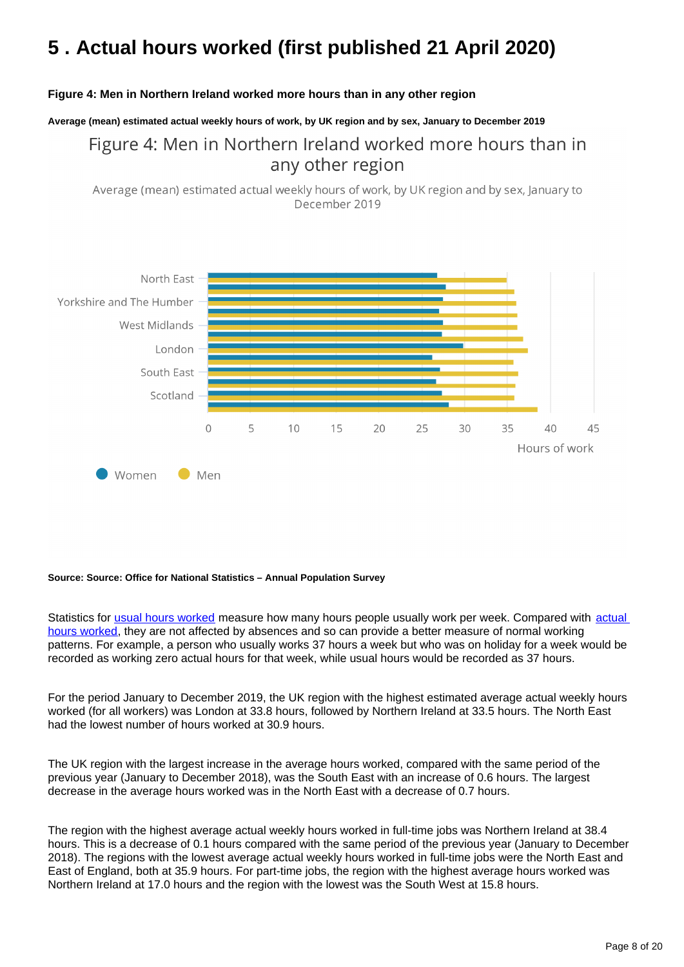# <span id="page-7-0"></span>**5 . Actual hours worked (first published 21 April 2020)**

#### **Figure 4: Men in Northern Ireland worked more hours than in any other region**

**Average (mean) estimated actual weekly hours of work, by UK region and by sex, January to December 2019**

## Figure 4: Men in Northern Ireland worked more hours than in any other region

Average (mean) estimated actual weekly hours of work, by UK region and by sex, January to December 2019



#### **Source: Source: Office for National Statistics – Annual Population Survey**

Statistics for [usual hours worked](https://www.ons.gov.uk/employmentandlabourmarket/peopleinwork/employmentandemployeetypes/methodologies/aguidetolabourmarketstatistics#hours-of-work) measure how many hours people usually work per week. Compared with actual [hours worked](https://www.ons.gov.uk/employmentandlabourmarket/peopleinwork/employmentandemployeetypes/methodologies/aguidetolabourmarketstatistics#hours-of-work), they are not affected by absences and so can provide a better measure of normal working patterns. For example, a person who usually works 37 hours a week but who was on holiday for a week would be recorded as working zero actual hours for that week, while usual hours would be recorded as 37 hours.

For the period January to December 2019, the UK region with the highest estimated average actual weekly hours worked (for all workers) was London at 33.8 hours, followed by Northern Ireland at 33.5 hours. The North East had the lowest number of hours worked at 30.9 hours.

The UK region with the largest increase in the average hours worked, compared with the same period of the previous year (January to December 2018), was the South East with an increase of 0.6 hours. The largest decrease in the average hours worked was in the North East with a decrease of 0.7 hours.

The region with the highest average actual weekly hours worked in full-time jobs was Northern Ireland at 38.4 hours. This is a decrease of 0.1 hours compared with the same period of the previous year (January to December 2018). The regions with the lowest average actual weekly hours worked in full-time jobs were the North East and East of England, both at 35.9 hours. For part-time jobs, the region with the highest average hours worked was Northern Ireland at 17.0 hours and the region with the lowest was the South West at 15.8 hours.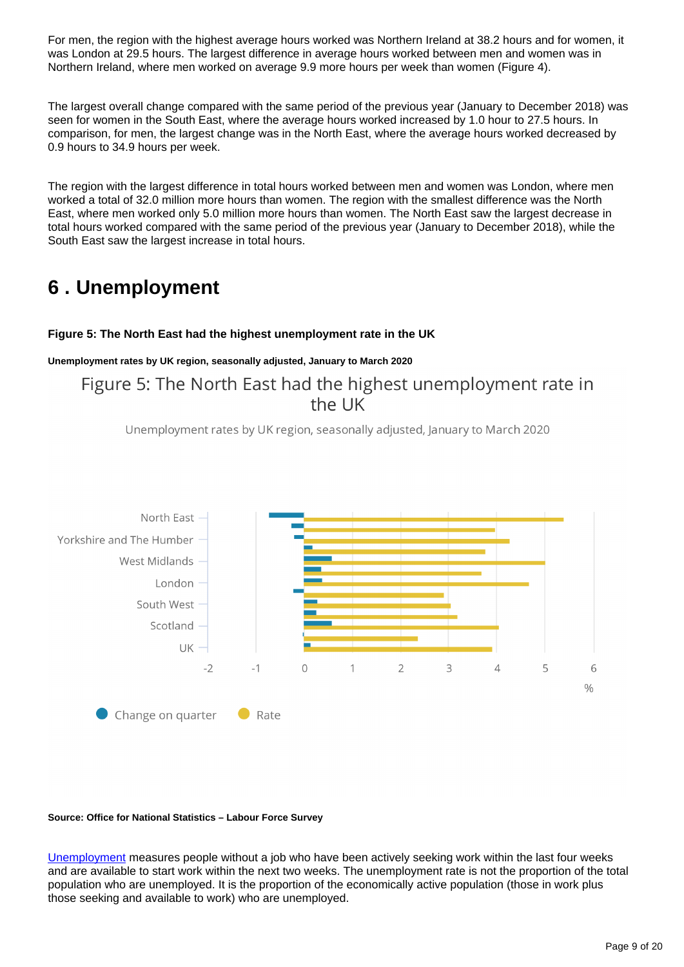For men, the region with the highest average hours worked was Northern Ireland at 38.2 hours and for women, it was London at 29.5 hours. The largest difference in average hours worked between men and women was in Northern Ireland, where men worked on average 9.9 more hours per week than women (Figure 4).

The largest overall change compared with the same period of the previous year (January to December 2018) was seen for women in the South East, where the average hours worked increased by 1.0 hour to 27.5 hours. In comparison, for men, the largest change was in the North East, where the average hours worked decreased by 0.9 hours to 34.9 hours per week.

The region with the largest difference in total hours worked between men and women was London, where men worked a total of 32.0 million more hours than women. The region with the smallest difference was the North East, where men worked only 5.0 million more hours than women. The North East saw the largest decrease in total hours worked compared with the same period of the previous year (January to December 2018), while the South East saw the largest increase in total hours.

## <span id="page-8-0"></span>**6 . Unemployment**

### **Figure 5: The North East had the highest unemployment rate in the UK**

#### **Unemployment rates by UK region, seasonally adjusted, January to March 2020**

Figure 5: The North East had the highest unemployment rate in the UK

Unemployment rates by UK region, seasonally adjusted, January to March 2020



#### **Source: Office for National Statistics – Labour Force Survey**

[Unemployment](https://www.ons.gov.uk/employmentandlabourmarket/peopleinwork/employmentandemployeetypes/methodologies/aguidetolabourmarketstatistics#unemployment) measures people without a job who have been actively seeking work within the last four weeks and are available to start work within the next two weeks. The unemployment rate is not the proportion of the total population who are unemployed. It is the proportion of the economically active population (those in work plus those seeking and available to work) who are unemployed.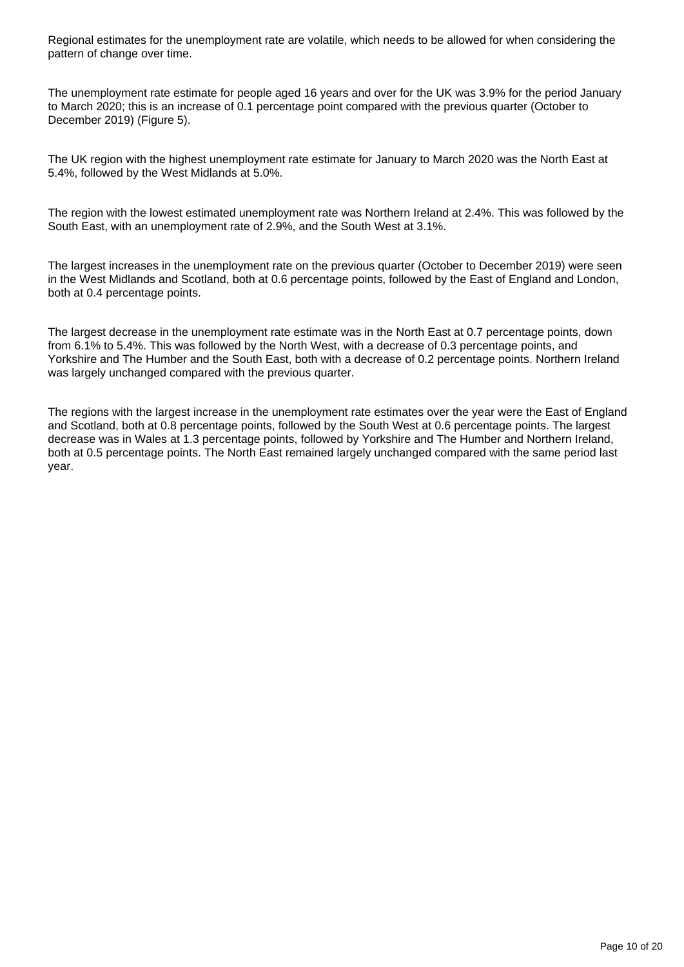Regional estimates for the unemployment rate are volatile, which needs to be allowed for when considering the pattern of change over time.

The unemployment rate estimate for people aged 16 years and over for the UK was 3.9% for the period January to March 2020; this is an increase of 0.1 percentage point compared with the previous quarter (October to December 2019) (Figure 5).

The UK region with the highest unemployment rate estimate for January to March 2020 was the North East at 5.4%, followed by the West Midlands at 5.0%.

The region with the lowest estimated unemployment rate was Northern Ireland at 2.4%. This was followed by the South East, with an unemployment rate of 2.9%, and the South West at 3.1%.

The largest increases in the unemployment rate on the previous quarter (October to December 2019) were seen in the West Midlands and Scotland, both at 0.6 percentage points, followed by the East of England and London, both at 0.4 percentage points.

The largest decrease in the unemployment rate estimate was in the North East at 0.7 percentage points, down from 6.1% to 5.4%. This was followed by the North West, with a decrease of 0.3 percentage points, and Yorkshire and The Humber and the South East, both with a decrease of 0.2 percentage points. Northern Ireland was largely unchanged compared with the previous quarter.

The regions with the largest increase in the unemployment rate estimates over the year were the East of England and Scotland, both at 0.8 percentage points, followed by the South West at 0.6 percentage points. The largest decrease was in Wales at 1.3 percentage points, followed by Yorkshire and The Humber and Northern Ireland, both at 0.5 percentage points. The North East remained largely unchanged compared with the same period last year.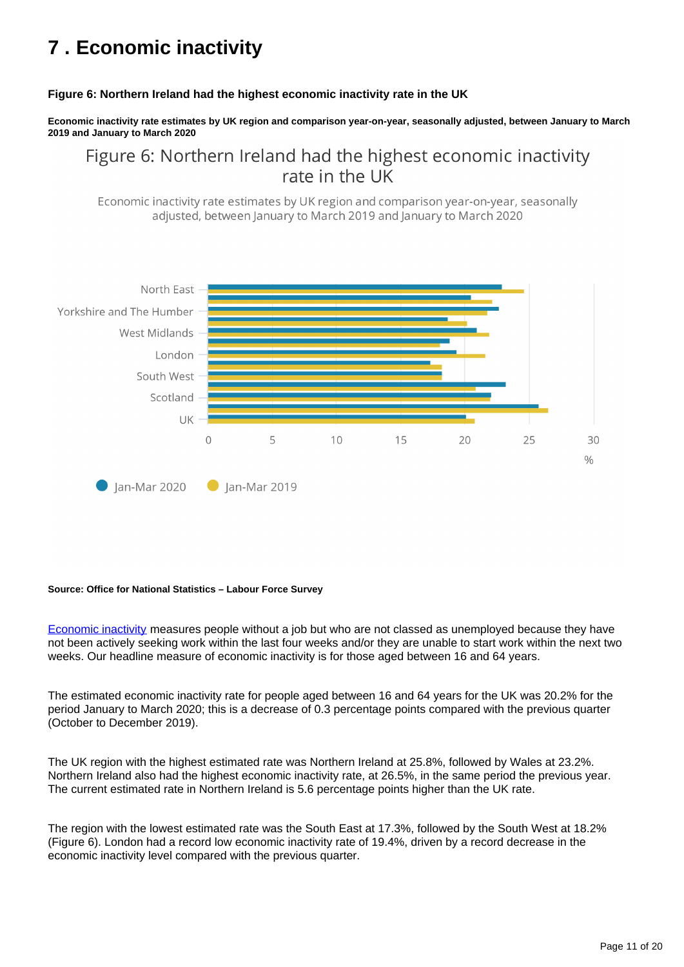# <span id="page-10-0"></span>**7 . Economic inactivity**

#### **Figure 6: Northern Ireland had the highest economic inactivity rate in the UK**

**Economic inactivity rate estimates by UK region and comparison year-on-year, seasonally adjusted, between January to March 2019 and January to March 2020**

Figure 6: Northern Ireland had the highest economic inactivity rate in the UK

Economic inactivity rate estimates by UK region and comparison year-on-year, seasonally adjusted, between January to March 2019 and January to March 2020



#### **Source: Office for National Statistics – Labour Force Survey**

[Economic inactivity](https://www.ons.gov.uk/employmentandlabourmarket/peopleinwork/employmentandemployeetypes/methodologies/aguidetolabourmarketstatistics/#economic-inactivity) measures people without a job but who are not classed as unemployed because they have not been actively seeking work within the last four weeks and/or they are unable to start work within the next two weeks. Our headline measure of economic inactivity is for those aged between 16 and 64 years.

The estimated economic inactivity rate for people aged between 16 and 64 years for the UK was 20.2% for the period January to March 2020; this is a decrease of 0.3 percentage points compared with the previous quarter (October to December 2019).

The UK region with the highest estimated rate was Northern Ireland at 25.8%, followed by Wales at 23.2%. Northern Ireland also had the highest economic inactivity rate, at 26.5%, in the same period the previous year. The current estimated rate in Northern Ireland is 5.6 percentage points higher than the UK rate.

The region with the lowest estimated rate was the South East at 17.3%, followed by the South West at 18.2% (Figure 6). London had a record low economic inactivity rate of 19.4%, driven by a record decrease in the economic inactivity level compared with the previous quarter.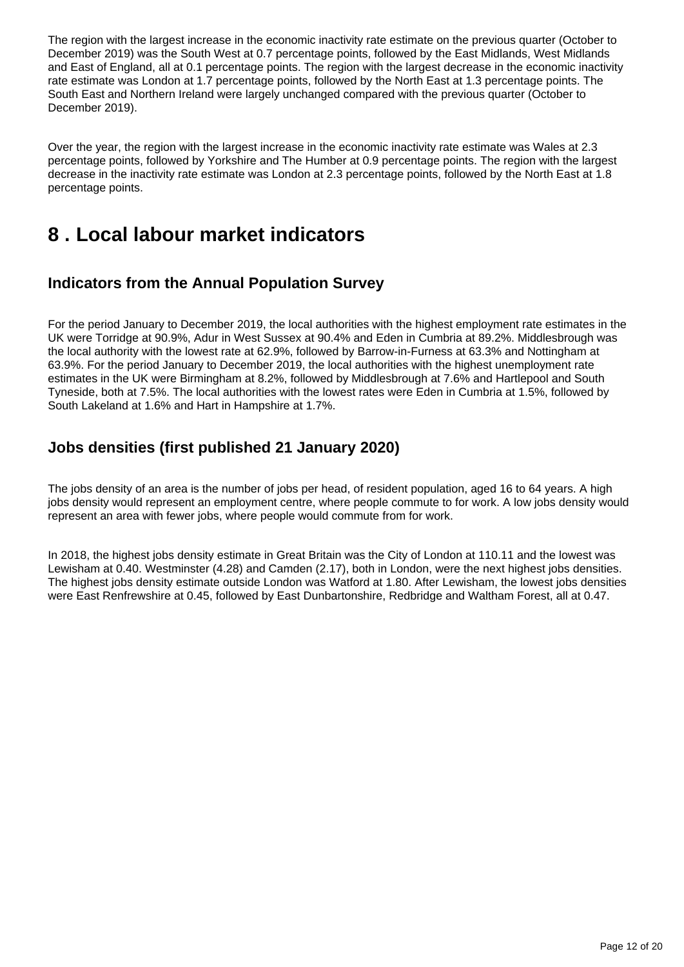The region with the largest increase in the economic inactivity rate estimate on the previous quarter (October to December 2019) was the South West at 0.7 percentage points, followed by the East Midlands, West Midlands and East of England, all at 0.1 percentage points. The region with the largest decrease in the economic inactivity rate estimate was London at 1.7 percentage points, followed by the North East at 1.3 percentage points. The South East and Northern Ireland were largely unchanged compared with the previous quarter (October to December 2019).

Over the year, the region with the largest increase in the economic inactivity rate estimate was Wales at 2.3 percentage points, followed by Yorkshire and The Humber at 0.9 percentage points. The region with the largest decrease in the inactivity rate estimate was London at 2.3 percentage points, followed by the North East at 1.8 percentage points.

## <span id="page-11-0"></span>**8 . Local labour market indicators**

### **Indicators from the Annual Population Survey**

For the period January to December 2019, the local authorities with the highest employment rate estimates in the UK were Torridge at 90.9%, Adur in West Sussex at 90.4% and Eden in Cumbria at 89.2%. Middlesbrough was the local authority with the lowest rate at 62.9%, followed by Barrow-in-Furness at 63.3% and Nottingham at 63.9%. For the period January to December 2019, the local authorities with the highest unemployment rate estimates in the UK were Birmingham at 8.2%, followed by Middlesbrough at 7.6% and Hartlepool and South Tyneside, both at 7.5%. The local authorities with the lowest rates were Eden in Cumbria at 1.5%, followed by South Lakeland at 1.6% and Hart in Hampshire at 1.7%.

### **Jobs densities (first published 21 January 2020)**

The jobs density of an area is the number of jobs per head, of resident population, aged 16 to 64 years. A high jobs density would represent an employment centre, where people commute to for work. A low jobs density would represent an area with fewer jobs, where people would commute from for work.

In 2018, the highest jobs density estimate in Great Britain was the City of London at 110.11 and the lowest was Lewisham at 0.40. Westminster (4.28) and Camden (2.17), both in London, were the next highest jobs densities. The highest jobs density estimate outside London was Watford at 1.80. After Lewisham, the lowest jobs densities were East Renfrewshire at 0.45, followed by East Dunbartonshire, Redbridge and Waltham Forest, all at 0.47.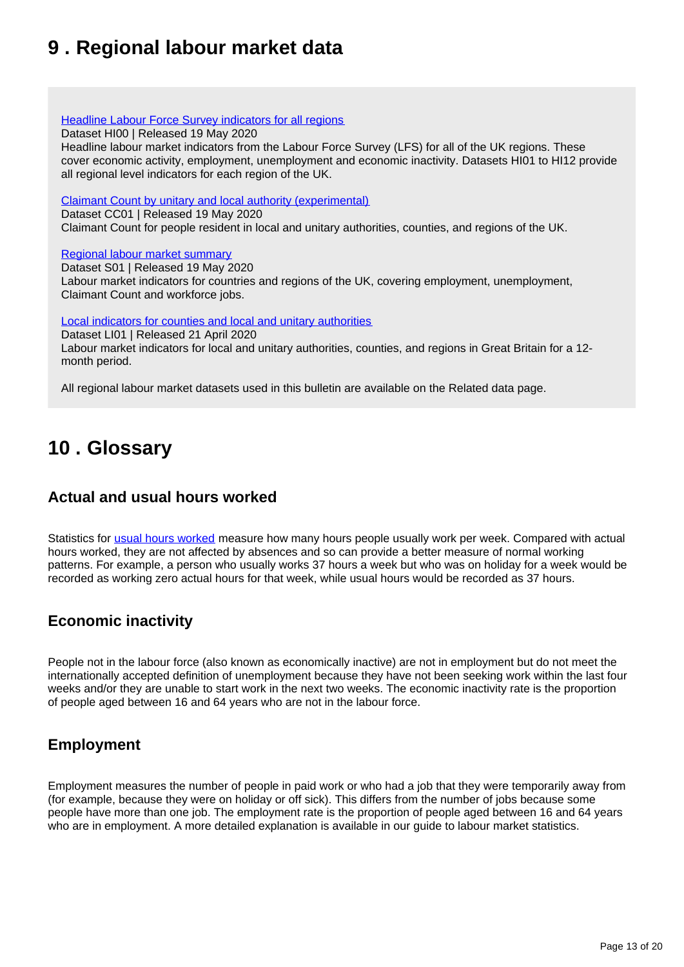# <span id="page-12-0"></span>**9 . Regional labour market data**

**[Headline Labour Force Survey indicators for all regions](https://www.ons.gov.uk/employmentandlabourmarket/peopleinwork/employmentandemployeetypes/datasets/headlinelabourforcesurveyindicatorsforallregionshi00)** 

Dataset HI00 | Released 19 May 2020

Headline labour market indicators from the Labour Force Survey (LFS) for all of the UK regions. These cover economic activity, employment, unemployment and economic inactivity. Datasets HI01 to HI12 provide all regional level indicators for each region of the UK.

[Claimant Count by unitary and local authority \(experimental\)](https://www.ons.gov.uk/employmentandlabourmarket/peoplenotinwork/unemployment/datasets/claimantcountbyunitaryandlocalauthorityexperimental)

Dataset CC01 | Released 19 May 2020

Claimant Count for people resident in local and unitary authorities, counties, and regions of the UK.

#### [Regional labour market summary](https://www.ons.gov.uk/employmentandlabourmarket/peopleinwork/employmentandemployeetypes/datasets/nationallabourmarketsummarybyregions01)

Dataset S01 | Released 19 May 2020 Labour market indicators for countries and regions of the UK, covering employment, unemployment, Claimant Count and workforce jobs.

[Local indicators for counties and local and unitary authorities](https://www.ons.gov.uk/employmentandlabourmarket/peopleinwork/employmentandemployeetypes/datasets/locallabourmarketindicatorsforcountieslocalandunitaryauthoritiesli01)

Dataset LI01 | Released 21 April 2020

Labour market indicators for local and unitary authorities, counties, and regions in Great Britain for a 12 month period.

All regional labour market datasets used in this bulletin are available on the Related data page.

# <span id="page-12-1"></span>**10 . Glossary**

### **Actual and usual hours worked**

Statistics for [usual hours worked](https://www.ons.gov.uk/employmentandlabourmarket/peopleinwork/employmentandemployeetypes/methodologies/aguidetolabourmarketstatistics#hours-of-work) measure how many hours people usually work per week. Compared with actual hours worked, they are not affected by absences and so can provide a better measure of normal working patterns. For example, a person who usually works 37 hours a week but who was on holiday for a week would be recorded as working zero actual hours for that week, while usual hours would be recorded as 37 hours.

### **Economic inactivity**

People not in the labour force (also known as economically inactive) are not in employment but do not meet the internationally accepted definition of unemployment because they have not been seeking work within the last four weeks and/or they are unable to start work in the next two weeks. The economic inactivity rate is the proportion of people aged between 16 and 64 years who are not in the labour force.

### **Employment**

Employment measures the number of people in paid work or who had a job that they were temporarily away from (for example, because they were on holiday or off sick). This differs from the number of jobs because some people have more than one job. The employment rate is the proportion of people aged between 16 and 64 years who are in employment. A more detailed explanation is available in our guide to labour market statistics.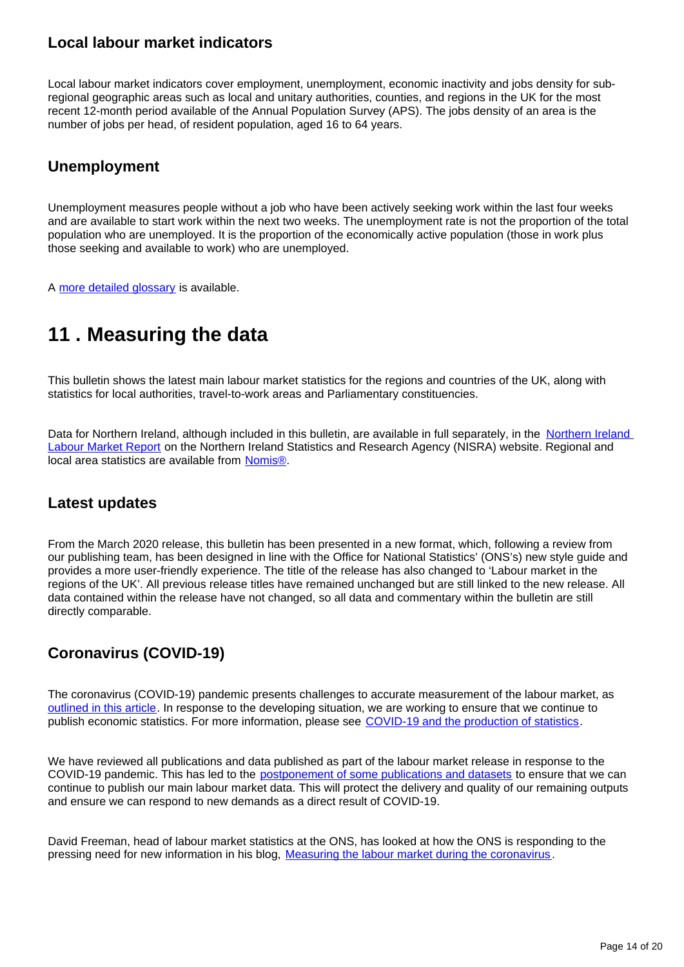### **Local labour market indicators**

Local labour market indicators cover employment, unemployment, economic inactivity and jobs density for subregional geographic areas such as local and unitary authorities, counties, and regions in the UK for the most recent 12-month period available of the Annual Population Survey (APS). The jobs density of an area is the number of jobs per head, of resident population, aged 16 to 64 years.

### **Unemployment**

Unemployment measures people without a job who have been actively seeking work within the last four weeks and are available to start work within the next two weeks. The unemployment rate is not the proportion of the total population who are unemployed. It is the proportion of the economically active population (those in work plus those seeking and available to work) who are unemployed.

A [more detailed glossary](https://www.ons.gov.uk/employmentandlabourmarket/peopleinwork/employmentandemployeetypes/methodologies/aguidetolabourmarketstatistics#glossary) is available.

# <span id="page-13-0"></span>**11 . Measuring the data**

This bulletin shows the latest main labour market statistics for the regions and countries of the UK, along with statistics for local authorities, travel-to-work areas and Parliamentary constituencies.

Data for Northern Ireland, although included in this bulletin, are available in full separately, in the Northern Ireland [Labour Market Report](https://www.nisra.gov.uk/statistics/labour-market-and-social-welfare/labour-force-survey) on the Northern Ireland Statistics and Research Agency (NISRA) website. Regional and local area statistics are available from [Nomis®](http://www.nomisweb.co.uk).

### **Latest updates**

From the March 2020 release, this bulletin has been presented in a new format, which, following a review from our publishing team, has been designed in line with the Office for National Statistics' (ONS's) new style guide and provides a more user-friendly experience. The title of the release has also changed to 'Labour market in the regions of the UK'. All previous release titles have remained unchanged but are still linked to the new release. All data contained within the release have not changed, so all data and commentary within the bulletin are still directly comparable.

### **Coronavirus (COVID-19)**

The coronavirus (COVID-19) pandemic presents challenges to accurate measurement of the labour market, as [outlined in this article.](https://www.ons.gov.uk/employmentandlabourmarket/peopleinwork/employmentandemployeetypes/articles/coronavirusandtheeffectsonuklabourmarketstatistics/2020-05-06) In response to the developing situation, we are working to ensure that we continue to publish economic statistics. For more information, please see [COVID-19 and the production of statistics.](https://www.ons.gov.uk/news/statementsandletters/covid19andtheproductionofstatistics)

We have reviewed all publications and data published as part of the labour market release in response to the COVID-19 pandemic. This has led to the [postponement of some publications and datasets](https://www.ons.gov.uk/news/statementsandletters/coronavirusimpactonlabourmarketoutputs) to ensure that we can continue to publish our main labour market data. This will protect the delivery and quality of our remaining outputs and ensure we can respond to new demands as a direct result of COVID-19.

David Freeman, head of labour market statistics at the ONS, has looked at how the ONS is responding to the pressing need for new information in his blog, [Measuring the labour market during the coronavirus](https://blog.ons.gov.uk/2020/04/20/measuring-the-labour-market-during-coronavirus/) .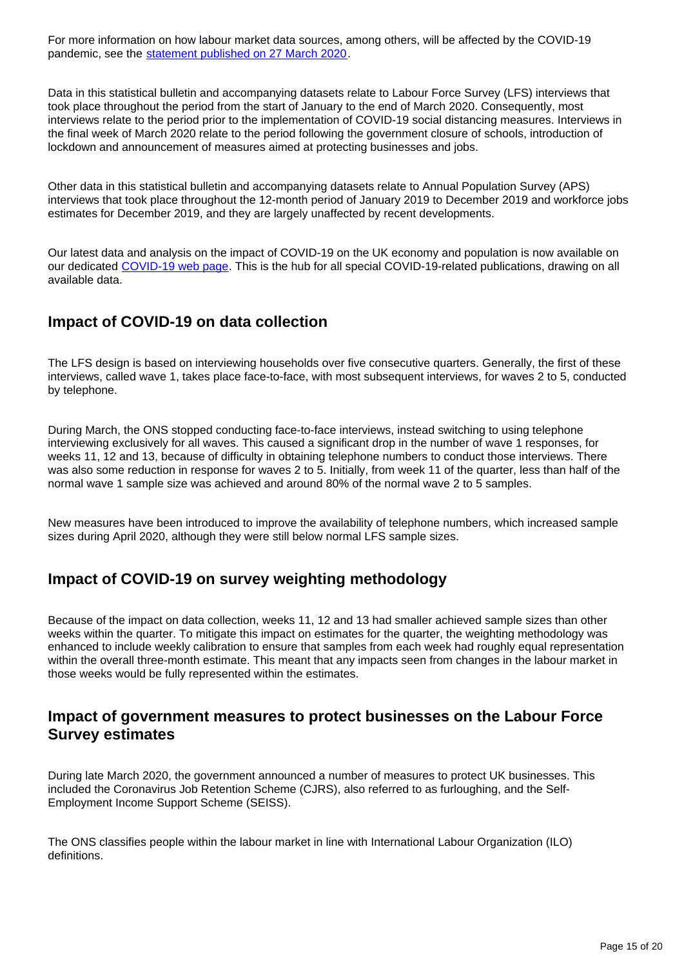For more information on how labour market data sources, among others, will be affected by the COVID-19 pandemic, see the [statement published on 27 March 2020.](https://www.ons.gov.uk/news/statementsandletters/ensuringthebestpossibleinformationduringcovid19throughsafedatacollection)

Data in this statistical bulletin and accompanying datasets relate to Labour Force Survey (LFS) interviews that took place throughout the period from the start of January to the end of March 2020. Consequently, most interviews relate to the period prior to the implementation of COVID-19 social distancing measures. Interviews in the final week of March 2020 relate to the period following the government closure of schools, introduction of lockdown and announcement of measures aimed at protecting businesses and jobs.

Other data in this statistical bulletin and accompanying datasets relate to Annual Population Survey (APS) interviews that took place throughout the 12-month period of January 2019 to December 2019 and workforce jobs estimates for December 2019, and they are largely unaffected by recent developments.

Our latest data and analysis on the impact of COVID-19 on the UK economy and population is now available on our dedicated [COVID-19 web page](http://www.ons.gov.uk/coronavirus). This is the hub for all special COVID-19-related publications, drawing on all available data.

### **Impact of COVID-19 on data collection**

The LFS design is based on interviewing households over five consecutive quarters. Generally, the first of these interviews, called wave 1, takes place face-to-face, with most subsequent interviews, for waves 2 to 5, conducted by telephone.

During March, the ONS stopped conducting face-to-face interviews, instead switching to using telephone interviewing exclusively for all waves. This caused a significant drop in the number of wave 1 responses, for weeks 11, 12 and 13, because of difficulty in obtaining telephone numbers to conduct those interviews. There was also some reduction in response for waves 2 to 5. Initially, from week 11 of the quarter, less than half of the normal wave 1 sample size was achieved and around 80% of the normal wave 2 to 5 samples.

New measures have been introduced to improve the availability of telephone numbers, which increased sample sizes during April 2020, although they were still below normal LFS sample sizes.

### **Impact of COVID-19 on survey weighting methodology**

Because of the impact on data collection, weeks 11, 12 and 13 had smaller achieved sample sizes than other weeks within the quarter. To mitigate this impact on estimates for the quarter, the weighting methodology was enhanced to include weekly calibration to ensure that samples from each week had roughly equal representation within the overall three-month estimate. This meant that any impacts seen from changes in the labour market in those weeks would be fully represented within the estimates.

### **Impact of government measures to protect businesses on the Labour Force Survey estimates**

During late March 2020, the government announced a number of measures to protect UK businesses. This included the Coronavirus Job Retention Scheme (CJRS), also referred to as furloughing, and the Self-Employment Income Support Scheme (SEISS).

The ONS classifies people within the labour market in line with International Labour Organization (ILO) definitions.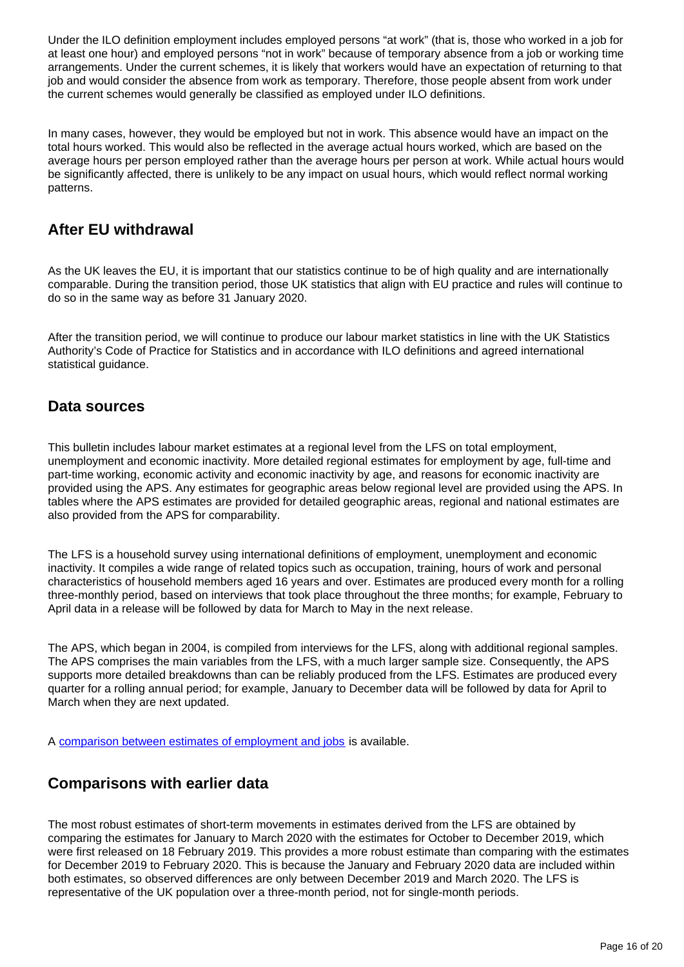Under the ILO definition employment includes employed persons "at work" (that is, those who worked in a job for at least one hour) and employed persons "not in work" because of temporary absence from a job or working time arrangements. Under the current schemes, it is likely that workers would have an expectation of returning to that job and would consider the absence from work as temporary. Therefore, those people absent from work under the current schemes would generally be classified as employed under ILO definitions.

In many cases, however, they would be employed but not in work. This absence would have an impact on the total hours worked. This would also be reflected in the average actual hours worked, which are based on the average hours per person employed rather than the average hours per person at work. While actual hours would be significantly affected, there is unlikely to be any impact on usual hours, which would reflect normal working patterns.

### **After EU withdrawal**

As the UK leaves the EU, it is important that our statistics continue to be of high quality and are internationally comparable. During the transition period, those UK statistics that align with EU practice and rules will continue to do so in the same way as before 31 January 2020.

After the transition period, we will continue to produce our labour market statistics in line with the UK Statistics Authority's Code of Practice for Statistics and in accordance with ILO definitions and agreed international statistical guidance.

### **Data sources**

This bulletin includes labour market estimates at a regional level from the LFS on total employment, unemployment and economic inactivity. More detailed regional estimates for employment by age, full-time and part-time working, economic activity and economic inactivity by age, and reasons for economic inactivity are provided using the APS. Any estimates for geographic areas below regional level are provided using the APS. In tables where the APS estimates are provided for detailed geographic areas, regional and national estimates are also provided from the APS for comparability.

The LFS is a household survey using international definitions of employment, unemployment and economic inactivity. It compiles a wide range of related topics such as occupation, training, hours of work and personal characteristics of household members aged 16 years and over. Estimates are produced every month for a rolling three-monthly period, based on interviews that took place throughout the three months; for example, February to April data in a release will be followed by data for March to May in the next release.

The APS, which began in 2004, is compiled from interviews for the LFS, along with additional regional samples. The APS comprises the main variables from the LFS, with a much larger sample size. Consequently, the APS supports more detailed breakdowns than can be reliably produced from the LFS. Estimates are produced every quarter for a rolling annual period; for example, January to December data will be followed by data for April to March when they are next updated.

A [comparison between estimates of employment and jobs](http://www.ons.gov.uk/employmentandlabourmarket/peopleinwork/employmentandemployeetypes/articles/reconciliationofestimatesofjobs/latest) is available.

### **Comparisons with earlier data**

The most robust estimates of short-term movements in estimates derived from the LFS are obtained by comparing the estimates for January to March 2020 with the estimates for October to December 2019, which were first released on 18 February 2019. This provides a more robust estimate than comparing with the estimates for December 2019 to February 2020. This is because the January and February 2020 data are included within both estimates, so observed differences are only between December 2019 and March 2020. The LFS is representative of the UK population over a three-month period, not for single-month periods.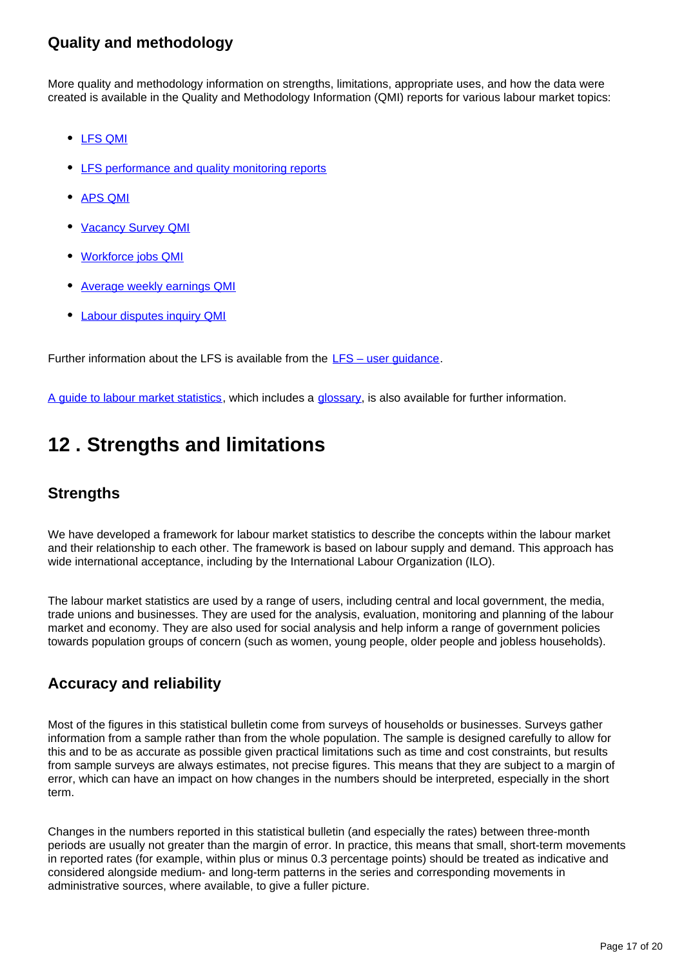### **Quality and methodology**

More quality and methodology information on strengths, limitations, appropriate uses, and how the data were created is available in the Quality and Methodology Information (QMI) reports for various labour market topics:

- [LFS QMI](https://www.ons.gov.uk/employmentandlabourmarket/peopleinwork/employmentandemployeetypes/qmis/labourforcesurveylfsqmi)
- [LFS performance and quality monitoring reports](https://www.ons.gov.uk/employmentandlabourmarket/peopleinwork/employmentandemployeetypes/methodologies/labourforcesurveyperformanceandqualitymonitoringreports)
- [APS QMI](https://www.ons.gov.uk/employmentandlabourmarket/peopleinwork/employmentandemployeetypes/methodologies/annualpopulationsurveyapsqmi)
- [Vacancy Survey QMI](https://www.ons.gov.uk/employmentandlabourmarket/peopleinwork/employmentandemployeetypes/qmis/vacancysurveyqmi)
- [Workforce jobs QMI](https://www.ons.gov.uk/employmentandlabourmarket/peopleinwork/employmentandemployeetypes/qmis/workforcejobsqmi)
- [Average weekly earnings QMI](https://www.ons.gov.uk/employmentandlabourmarket/peopleinwork/earningsandworkinghours/methodologies/averageweeklyearningsqmi)
- [Labour disputes inquiry QMI](https://www.ons.gov.uk/employmentandlabourmarket/peopleinwork/workplacedisputesandworkingconditions/methodologies/labourdisputesinquiryqmi)

Further information about the LFS is available from the LFS – user quidance.

[A guide to labour market statistics,](https://www.ons.gov.uk/employmentandlabourmarket/peopleinwork/employmentandemployeetypes/methodologies/aguidetolabourmarketstatistics) which includes a [glossary,](https://www.ons.gov.uk/employmentandlabourmarket/peopleinwork/employmentandemployeetypes/methodologies/aguidetolabourmarketstatistics#glossary) is also available for further information.

# <span id="page-16-0"></span>**12 . Strengths and limitations**

### **Strengths**

We have developed a framework for labour market statistics to describe the concepts within the labour market and their relationship to each other. The framework is based on labour supply and demand. This approach has wide international acceptance, including by the International Labour Organization (ILO).

The labour market statistics are used by a range of users, including central and local government, the media, trade unions and businesses. They are used for the analysis, evaluation, monitoring and planning of the labour market and economy. They are also used for social analysis and help inform a range of government policies towards population groups of concern (such as women, young people, older people and jobless households).

### **Accuracy and reliability**

Most of the figures in this statistical bulletin come from surveys of households or businesses. Surveys gather information from a sample rather than from the whole population. The sample is designed carefully to allow for this and to be as accurate as possible given practical limitations such as time and cost constraints, but results from sample surveys are always estimates, not precise figures. This means that they are subject to a margin of error, which can have an impact on how changes in the numbers should be interpreted, especially in the short term.

Changes in the numbers reported in this statistical bulletin (and especially the rates) between three-month periods are usually not greater than the margin of error. In practice, this means that small, short-term movements in reported rates (for example, within plus or minus 0.3 percentage points) should be treated as indicative and considered alongside medium- and long-term patterns in the series and corresponding movements in administrative sources, where available, to give a fuller picture.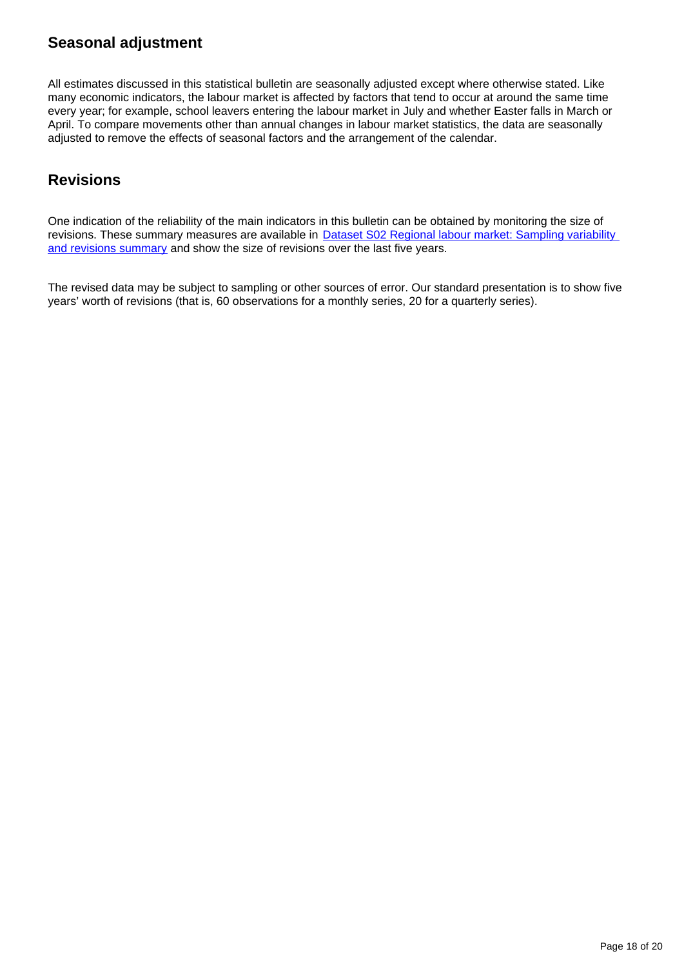### **Seasonal adjustment**

All estimates discussed in this statistical bulletin are seasonally adjusted except where otherwise stated. Like many economic indicators, the labour market is affected by factors that tend to occur at around the same time every year; for example, school leavers entering the labour market in July and whether Easter falls in March or April. To compare movements other than annual changes in labour market statistics, the data are seasonally adjusted to remove the effects of seasonal factors and the arrangement of the calendar.

### **Revisions**

One indication of the reliability of the main indicators in this bulletin can be obtained by monitoring the size of revisions. These summary measures are available in Dataset S02 Regional labour market: Sampling variability [and revisions summary](http://www.ons.gov.uk/employmentandlabourmarket/peopleinwork/employmentandemployeetypes/datasets/samplingvariabilityandrevisionssummaryforregionallabourmarketstatisticss02) and show the size of revisions over the last five years.

The revised data may be subject to sampling or other sources of error. Our standard presentation is to show five years' worth of revisions (that is, 60 observations for a monthly series, 20 for a quarterly series).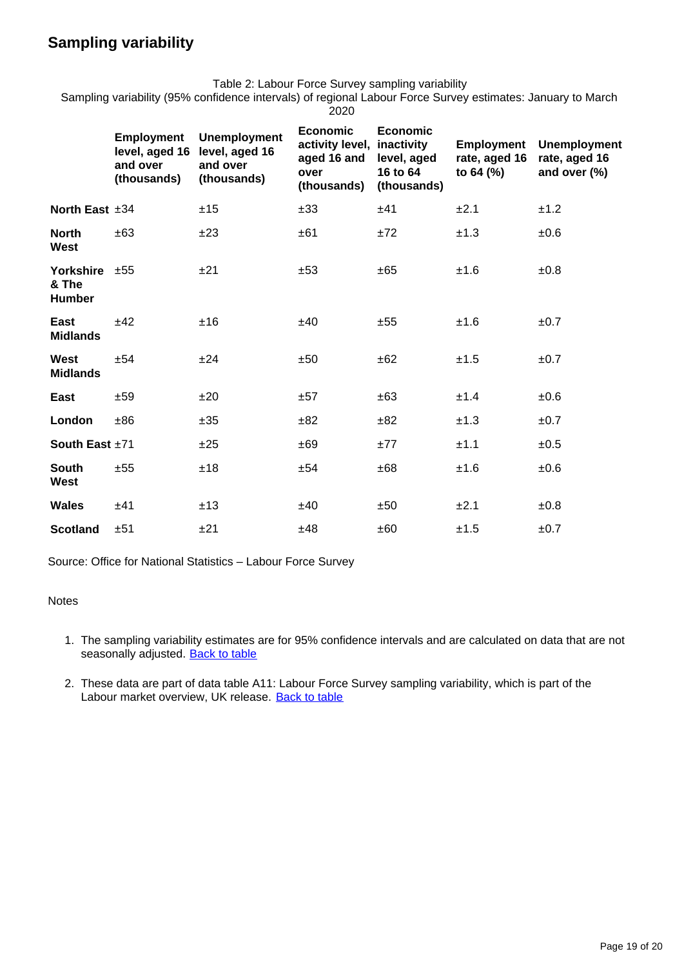### **Sampling variability**

Table 2: Labour Force Survey sampling variability

Sampling variability (95% confidence intervals) of regional Labour Force Survey estimates: January to March 2020

|                                           | <b>Employment</b><br>level, aged 16<br>and over<br>(thousands) | <b>Unemployment</b><br>level, aged 16<br>and over<br>(thousands) | <b>Economic</b><br>activity level,<br>aged 16 and<br>over<br>(thousands) | <b>Economic</b><br>inactivity<br>level, aged<br>16 to 64<br>(thousands) | <b>Employment</b><br>rate, aged 16<br>to $64$ (%) | <b>Unemployment</b><br>rate, aged 16<br>and over (%) |
|-------------------------------------------|----------------------------------------------------------------|------------------------------------------------------------------|--------------------------------------------------------------------------|-------------------------------------------------------------------------|---------------------------------------------------|------------------------------------------------------|
| North East $±34$                          |                                                                | ±15                                                              | ±33                                                                      | ±41                                                                     | ±2.1                                              | ±1.2                                                 |
| <b>North</b><br><b>West</b>               | ±63                                                            | ±23                                                              | ±61                                                                      | ±72                                                                     | ±1.3                                              | $\pm 0.6$                                            |
| Yorkshire $±55$<br>& The<br><b>Humber</b> |                                                                | ±21                                                              | ±53                                                                      | ±65                                                                     | ±1.6                                              | ±0.8                                                 |
| East<br><b>Midlands</b>                   | ±42                                                            | ±16                                                              | ±40                                                                      | ±55                                                                     | ±1.6                                              | ±0.7                                                 |
| West<br><b>Midlands</b>                   | ±54                                                            | ±24                                                              | ±50                                                                      | ±62                                                                     | ±1.5                                              | ±0.7                                                 |
| East                                      | ±59                                                            | ±20                                                              | ±57                                                                      | ±63                                                                     | ±1.4                                              | $\pm 0.6$                                            |
| London                                    | ±86                                                            | ±35                                                              | ±82                                                                      | ±82                                                                     | ±1.3                                              | ±0.7                                                 |
| South East ±71                            |                                                                | ±25                                                              | ±69                                                                      | ±77                                                                     | ±1.1                                              | ±0.5                                                 |
| <b>South</b><br>West                      | ±55                                                            | ±18                                                              | ±54                                                                      | ±68                                                                     | ±1.6                                              | ±0.6                                                 |
| <b>Wales</b>                              | ±41                                                            | ±13                                                              | ±40                                                                      | ±50                                                                     | ±2.1                                              | ±0.8                                                 |
| <b>Scotland</b>                           | ±51                                                            | ±21                                                              | ±48                                                                      | ±60                                                                     | ±1.5                                              | ±0.7                                                 |

Source: Office for National Statistics – Labour Force Survey

#### Notes

- 1. The sampling variability estimates are for 95% confidence intervals and are calculated on data that are not seasonally adjusted. [Back to table](#page-0-0)
- 2. These data are part of data table A11: Labour Force Survey sampling variability, which is part of the Labour market overview, UK release. [Back to table](#page-0-0)